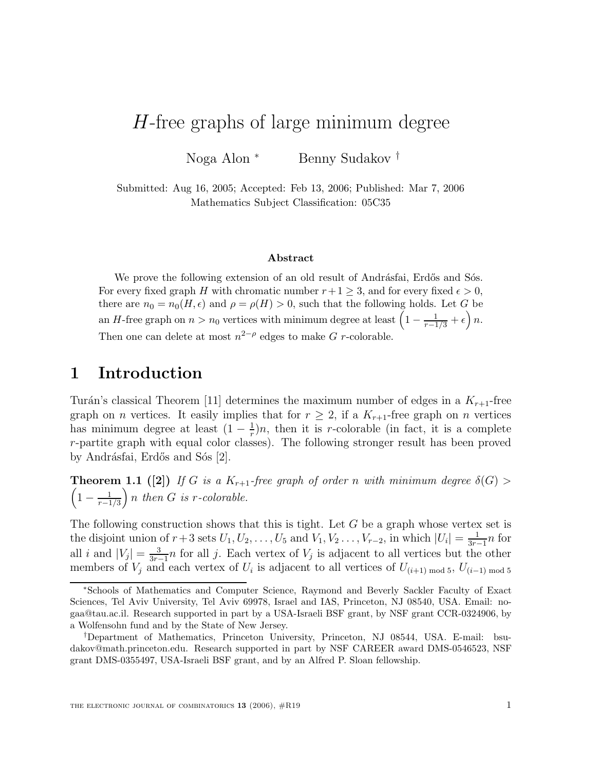# H-free graphs of large minimum degree

Noga Alon <sup>∗</sup> Benny Sudakov †

Submitted: Aug 16, 2005; Accepted: Feb 13, 2006; Published: Mar 7, 2006 Mathematics Subject Classification: 05C35

#### **Abstract**

We prove the following extension of an old result of Andrásfai, Erdős and Sós. For every fixed graph H with chromatic number  $r+1 \geq 3$ , and for every fixed  $\epsilon > 0$ , there are  $n_0 = n_0(H, \epsilon)$  and  $\rho = \rho(H) > 0$ , such that the following holds. Let G be an H-free graph on  $n > n_0$  vertices with minimum degree at least  $\left(1 - \frac{1}{r-1/3} + \epsilon\right)n$ . Then one can delete at most  $n^{2-\rho}$  edges to make G r-colorable.

## **1 Introduction**

Turán's classical Theorem [11] determines the maximum number of edges in a  $K_{r+1}$ -free graph on *n* vertices. It easily implies that for  $r \geq 2$ , if a  $K_{r+1}$ -free graph on *n* vertices has minimum degree at least  $(1 - \frac{1}{r})n$ , then it is r-colorable (in fact, it is a complete r-partite graph with equal color classes). The following stronger result has been proved by Andrásfai, Erdős and Sós [2].

**Theorem 1.1 ([2])** If G is a  $K_{r+1}$ -free graph of order n with minimum degree  $\delta(G)$  $\left(1-\frac{1}{r-1/3}\right)$  $\bigg\}$ n then G is r-colorable.

The following construction shows that this is tight. Let  $G$  be a graph whose vertex set is the disjoint union of  $r+3$  sets  $U_1, U_2, \ldots, U_5$  and  $V_1, V_2, \ldots, V_{r-2}$ , in which  $|U_i| = \frac{1}{3r-1}n$  for all i and  $|V_j| = \frac{3}{3r-1}n$  for all j. Each vertex of  $V_j$  is adjacent to all vertices but the other members of  $V_j$  and each vertex of  $U_i$  is adjacent to all vertices of  $U_{(i+1) \text{ mod } 5}$ ,  $U_{(i-1) \text{ mod } 5}$ 

<sup>∗</sup>Schools of Mathematics and Computer Science, Raymond and Beverly Sackler Faculty of Exact Sciences, Tel Aviv University, Tel Aviv 69978, Israel and IAS, Princeton, NJ 08540, USA. Email: nogaa@tau.ac.il. Research supported in part by a USA-Israeli BSF grant, by NSF grant CCR-0324906, by a Wolfensohn fund and by the State of New Jersey.

<sup>†</sup>Department of Mathematics, Princeton University, Princeton, NJ 08544, USA. E-mail: bsudakov@math.princeton.edu. Research supported in part by NSF CAREER award DMS-0546523, NSF grant DMS-0355497, USA-Israeli BSF grant, and by an Alfred P. Sloan fellowship.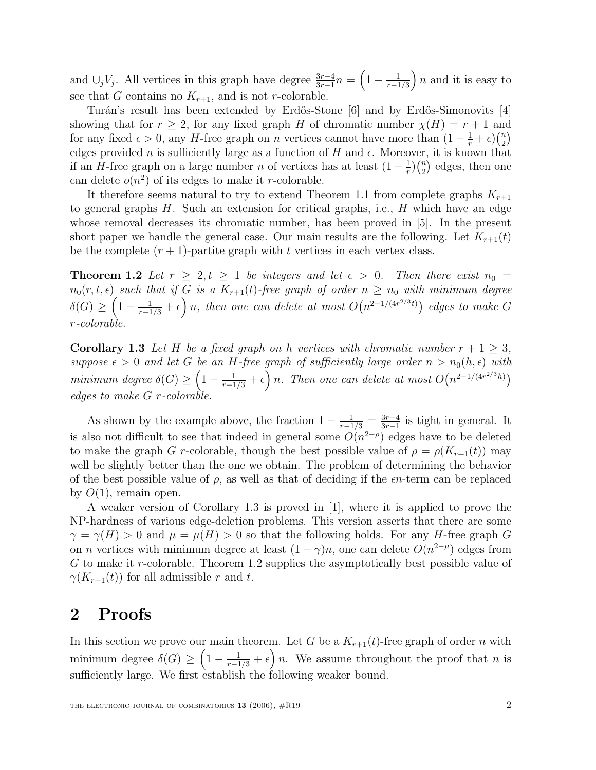and  $\cup_j V_j$ . All vertices in this graph have degree  $\frac{3r-4}{3r-1}n = \left(1 - \frac{1}{r-1/3}\right)$  $\left\{ n \right.$  and it is easy to see that G contains no  $K_{r+1}$ , and is not r-colorable.

Turán's result has been extended by Erdős-Stone [6] and by Erdős-Simonovits [4] showing that for  $r \geq 2$ , for any fixed graph H of chromatic number  $\chi(H) = r + 1$  and for any fixed  $\epsilon > 0$ , any H-free graph on n vertices cannot have more than  $(1 - \frac{1}{r} + \epsilon) {n \choose 2}$ edges provided n is sufficiently large as a function of H and  $\epsilon$ . Moreover, it is known that if an H-free graph on a large number n of vertices has at least  $(1 - \frac{1}{r})(\frac{n}{2})$  edges, then one can delete  $o(n^2)$  of its edges to make it r-colorable.

It therefore seems natural to try to extend Theorem 1.1 from complete graphs  $K_{r+1}$ to general graphs  $H$ . Such an extension for critical graphs, i.e.,  $H$  which have an edge whose removal decreases its chromatic number, has been proved in [5]. In the present short paper we handle the general case. Our main results are the following. Let  $K_{r+1}(t)$ be the complete  $(r + 1)$ -partite graph with t vertices in each vertex class.

**Theorem 1.2** Let  $r \geq 2, t \geq 1$  be integers and let  $\epsilon > 0$ . Then there exist  $n_0 =$  $n_0(r, t, \epsilon)$  such that if G is a  $K_{r+1}(t)$ -free graph of order  $n \geq n_0$  with minimum degree  $\delta(G) \geq \left(1 - \frac{1}{r-1/3} + \epsilon\right)n$ , then one can delete at most  $O\big(n^{2-1/(4r^{2/3}t)}\big)$  edges to make G r-colorable.

**Corollary 1.3** Let H be a fixed graph on h vertices with chromatic number  $r + 1 > 3$ , suppose  $\epsilon > 0$  and let G be an H-free graph of sufficiently large order  $n > n_0(h, \epsilon)$  with minimum degree  $\delta(G) \geq \left(1 - \frac{1}{r-1/3} + \epsilon\right)n$ . Then one can delete at most  $O(n^{2-1/(4r^{2/3}h)})$ edges to make  $G$  r-colorable

As shown by the example above, the fraction  $1 - \frac{1}{r-1/3} = \frac{3r-4}{3r-1}$  is tight in general. It is also not difficult to see that indeed in general some  $O(n^{2-\rho})$  edges have to be deleted to make the graph G r-colorable, though the best possible value of  $\rho = \rho(K_{r+1}(t))$  may well be slightly better than the one we obtain. The problem of determining the behavior of the best possible value of  $\rho$ , as well as that of deciding if the  $\epsilon n$ -term can be replaced by  $O(1)$ , remain open.

A weaker version of Corollary 1.3 is proved in [1], where it is applied to prove the NP-hardness of various edge-deletion problems. This version asserts that there are some  $\gamma = \gamma(H) > 0$  and  $\mu = \mu(H) > 0$  so that the following holds. For any H-free graph G on *n* vertices with minimum degree at least  $(1 - \gamma)n$ , one can delete  $O(n^{2-\mu})$  edges from G to make it r-colorable. Theorem 1.2 supplies the asymptotically best possible value of  $\gamma(K_{r+1}(t))$  for all admissible r and t.

## **2 Proofs**

In this section we prove our main theorem. Let G be a  $K_{r+1}(t)$ -free graph of order n with minimum degree  $\delta(G) \geq \left(1 - \frac{1}{r-1/3} + \epsilon\right)n$ . We assume throughout the proof that n is sufficiently large. We first establish the following weaker bound.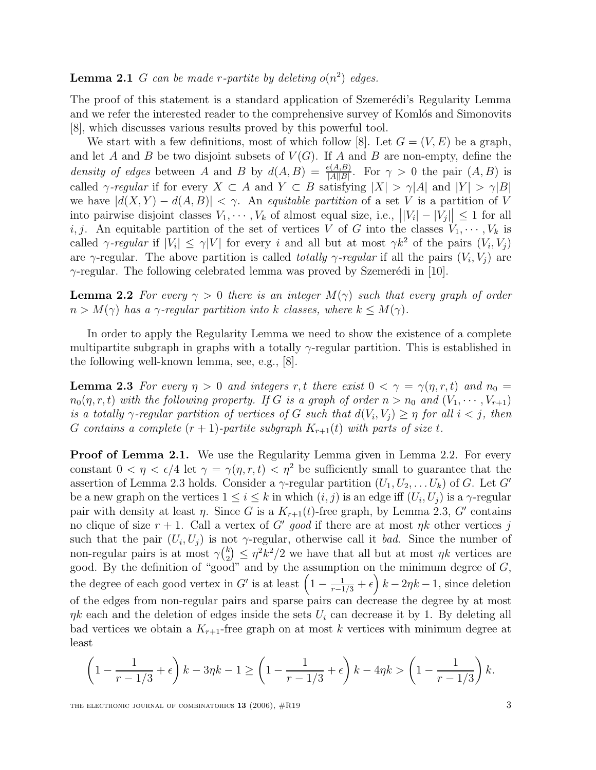**Lemma 2.1** G can be made r-partite by deleting  $o(n^2)$  edges.

The proof of this statement is a standard application of Szemerédi's Regularity Lemma and we refer the interested reader to the comprehensive survey of Komlós and Simonovits [8], which discusses various results proved by this powerful tool.

We start with a few definitions, most of which follow [8]. Let  $G = (V, E)$  be a graph, and let A and B be two disjoint subsets of  $V(G)$ . If A and B are non-empty, define the density of edges between A and B by  $d(A, B) = \frac{e(A, B)}{|A||B|}$ . For  $\gamma > 0$  the pair  $(A, B)$  is called  $\gamma$ -regular if for every  $X \subset A$  and  $Y \subset B$  satisfying  $|X| > \gamma |A|$  and  $|Y| > \gamma |B|$ we have  $|d(X, Y) - d(A, B)| < \gamma$ . An equitable partition of a set V is a partition of V into pairwise disjoint classes  $V_1, \dots, V_k$  of almost equal size, i.e.,  $||V_i| - |V_j|| \leq 1$  for all i, j. An equitable partition of the set of vertices V of G into the classes  $V_1, \dots, V_k$  is called  $\gamma$ -regular if  $|V_i| \leq \gamma |V|$  for every i and all but at most  $\gamma k^2$  of the pairs  $(V_i, V_j)$ are  $\gamma$ -regular. The above partition is called *totally*  $\gamma$ *-regular* if all the pairs  $(V_i, V_j)$  are  $\gamma$ -regular. The following celebrated lemma was proved by Szemerédi in [10].

**Lemma 2.2** For every  $\gamma > 0$  there is an integer  $M(\gamma)$  such that every graph of order  $n > M(\gamma)$  has a  $\gamma$ -regular partition into k classes, where  $k \leq M(\gamma)$ .

In order to apply the Regularity Lemma we need to show the existence of a complete multipartite subgraph in graphs with a totally  $\gamma$ -regular partition. This is established in the following well-known lemma, see, e.g., [8].

**Lemma 2.3** For every  $\eta > 0$  and integers r, t there exist  $0 < \gamma = \gamma(\eta, r, t)$  and  $n_0 =$  $n_0(\eta, r, t)$  with the following property. If G is a graph of order  $n > n_0$  and  $(V_1, \dots, V_{r+1})$ is a totally  $\gamma$ -regular partition of vertices of G such that  $d(V_i, V_j) \geq \eta$  for all  $i < j$ , then G contains a complete  $(r + 1)$ -partite subgraph  $K_{r+1}(t)$  with parts of size t.

**Proof of Lemma 2.1.** We use the Regularity Lemma given in Lemma 2.2. For every constant  $0 < \eta < \epsilon/4$  let  $\gamma = \gamma(\eta, r, t) < \eta^2$  be sufficiently small to guarantee that the assertion of Lemma 2.3 holds. Consider a  $\gamma$ -regular partition  $(U_1, U_2, \ldots, U_k)$  of G. Let G' be a new graph on the vertices  $1 \leq i \leq k$  in which  $(i, j)$  is an edge iff  $(U_i, U_j)$  is a  $\gamma$ -regular pair with density at least  $\eta$ . Since G is a  $K_{r+1}(t)$ -free graph, by Lemma 2.3, G' contains no clique of size  $r + 1$ . Call a vertex of G' good if there are at most  $\eta k$  other vertices j such that the pair  $(U_i, U_j)$  is not  $\gamma$ -regular, otherwise call it bad. Since the number of non-regular pairs is at most  $\gamma {k \choose 2} \leq \eta^2 k^2/2$  we have that all but at most  $\eta k$  vertices are good. By the definition of "good" and by the assumption on the minimum degree of  $G$ , the degree of each good vertex in G' is at least  $\left(1 - \frac{1}{r-1/3} + \epsilon\right)k - 2\eta k - 1$ , since deletion of the edges from non-regular pairs and sparse pairs can decrease the degree by at most  $\eta k$  each and the deletion of edges inside the sets  $U_i$  can decrease it by 1. By deleting all bad vertices we obtain a  $K_{r+1}$ -free graph on at most k vertices with minimum degree at least

$$
\left(1 - \frac{1}{r - 1/3} + \epsilon\right)k - 3\eta k - 1 \ge \left(1 - \frac{1}{r - 1/3} + \epsilon\right)k - 4\eta k > \left(1 - \frac{1}{r - 1/3}\right)k.
$$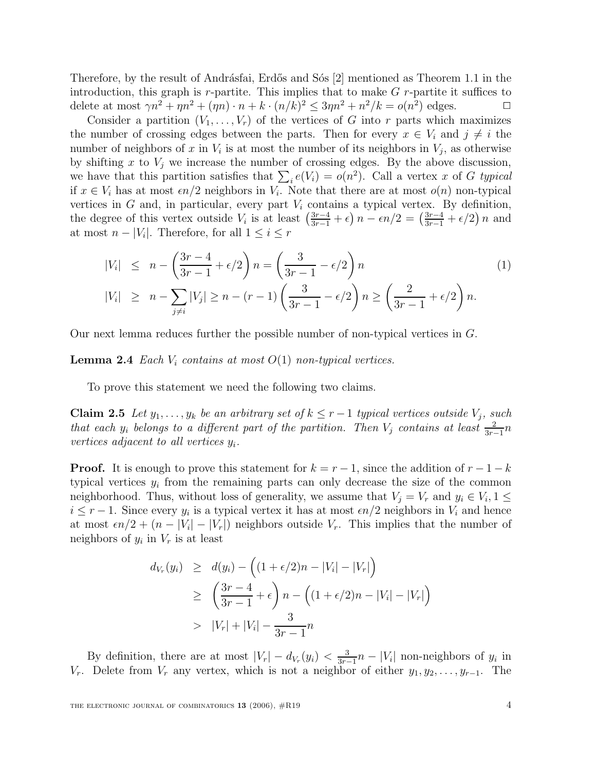Therefore, by the result of Andrásfai, Erdős and Sós [2] mentioned as Theorem 1.1 in the introduction, this graph is  $r$ -partite. This implies that to make  $G$   $r$ -partite it suffices to delete at most  $\gamma n^2 + \eta n^2 + (\eta n) \cdot n + k \cdot (n/k)^2 \leq 3\eta n^2 + n^2/k = o(n^2)$  edges.

Consider a partition  $(V_1,\ldots,V_r)$  of the vertices of G into r parts which maximizes the number of crossing edges between the parts. Then for every  $x \in V_i$  and  $j \neq i$  the number of neighbors of x in  $V_i$  is at most the number of its neighbors in  $V_j$ , as otherwise by shifting x to  $V_i$  we increase the number of crossing edges. By the above discussion, we have that this partition satisfies that  $\sum_i e(V_i) = o(n^2)$ . Call a vertex x of G typical if  $x \in V_i$  has at most  $\epsilon n/2$  neighbors in  $V_i$ . Note that there are at most  $o(n)$  non-typical vertices in  $G$  and, in particular, every part  $V_i$  contains a typical vertex. By definition, the degree of this vertex outside  $V_i$  is at least  $\left(\frac{3r-4}{3r-1} + \epsilon\right)n - \epsilon n/2 = \left(\frac{3r-4}{3r-1} + \epsilon/2\right)n$  and at most  $n - |V_i|$ . Therefore, for all  $1 \leq i \leq r$ 

$$
|V_i| \le n - \left(\frac{3r - 4}{3r - 1} + \epsilon/2\right)n = \left(\frac{3}{3r - 1} - \epsilon/2\right)n
$$
  
\n
$$
|V_i| \ge n - \sum_{j \ne i} |V_j| \ge n - (r - 1)\left(\frac{3}{3r - 1} - \epsilon/2\right)n \ge \left(\frac{2}{3r - 1} + \epsilon/2\right)n.
$$
\n(1)

Our next lemma reduces further the possible number of non-typical vertices in G.

**Lemma 2.4** Each  $V_i$  contains at most  $O(1)$  non-typical vertices.

To prove this statement we need the following two claims.

**Claim 2.5** Let  $y_1, \ldots, y_k$  be an arbitrary set of  $k \leq r-1$  typical vertices outside  $V_j$ , such that each  $y_i$  belongs to a different part of the partition. Then  $V_j$  contains at least  $\frac{2}{3r-1}n$ vertices adjacent to all vertices  $y_i$ .

**Proof.** It is enough to prove this statement for  $k = r - 1$ , since the addition of  $r - 1 - k$ typical vertices  $y_i$  from the remaining parts can only decrease the size of the common neighborhood. Thus, without loss of generality, we assume that  $V_i = V_r$  and  $y_i \in V_i$ ,  $1 \leq$  $i \leq r-1$ . Since every  $y_i$  is a typical vertex it has at most  $\epsilon n/2$  neighbors in  $V_i$  and hence at most  $\epsilon n/2+(n-|V_i|-|V_r|)$  neighbors outside  $V_r$ . This implies that the number of neighbors of  $y_i$  in  $V_r$  is at least

$$
d_{V_r}(y_i) \geq d(y_i) - ((1 + \epsilon/2)n - |V_i| - |V_r|)
$$
  
\n
$$
\geq \left(\frac{3r - 4}{3r - 1} + \epsilon\right)n - ((1 + \epsilon/2)n - |V_i| - |V_r|)
$$
  
\n
$$
> |V_r| + |V_i| - \frac{3}{3r - 1}n
$$

By definition, there are at most  $|V_r| - d_{V_r}(y_i) < \frac{3}{3r-1}n - |V_i|$  non-neighbors of  $y_i$  in  $V_r$ . Delete from  $V_r$  any vertex, which is not a neighbor of either  $y_1, y_2, \ldots, y_{r-1}$ . The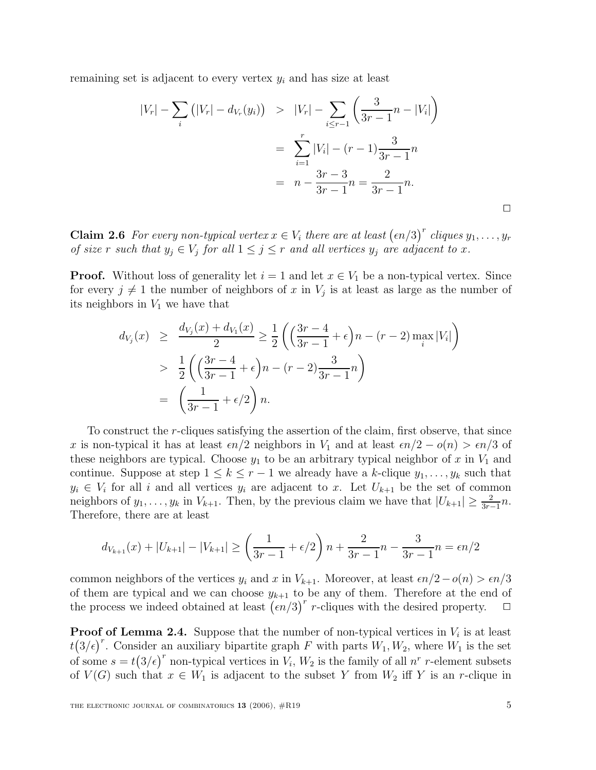remaining set is adjacent to every vertex  $y_i$  and has size at least

$$
|V_r| - \sum_{i} (|V_r| - d_{V_r}(y_i)) > |V_r| - \sum_{i \le r-1} \left( \frac{3}{3r - 1} n - |V_i| \right)
$$
  
= 
$$
\sum_{i=1}^r |V_i| - (r - 1) \frac{3}{3r - 1} n
$$
  
= 
$$
n - \frac{3r - 3}{3r - 1} n = \frac{2}{3r - 1} n.
$$

**Claim 2.6** For every non-typical vertex  $x \in V_i$  there are at least  $(\epsilon n/3)^r$  cliques  $y_1, \ldots, y_r$ of size r such that  $y_j \in V_j$  for all  $1 \leq j \leq r$  and all vertices  $y_j$  are adjacent to x.

**Proof.** Without loss of generality let  $i = 1$  and let  $x \in V_1$  be a non-typical vertex. Since for every  $j \neq 1$  the number of neighbors of x in  $V_j$  is at least as large as the number of its neighbors in  $V_1$  we have that

$$
d_{V_j}(x) \ge \frac{d_{V_j}(x) + d_{V_1}(x)}{2} \ge \frac{1}{2} \left( \left( \frac{3r - 4}{3r - 1} + \epsilon \right) n - (r - 2) \max_i |V_i| \right)
$$
  
> 
$$
\frac{1}{2} \left( \left( \frac{3r - 4}{3r - 1} + \epsilon \right) n - (r - 2) \frac{3}{3r - 1} n \right)
$$
  
= 
$$
\left( \frac{1}{3r - 1} + \epsilon/2 \right) n.
$$

To construct the r-cliques satisfying the assertion of the claim, first observe, that since x is non-typical it has at least  $\epsilon n/2$  neighbors in  $V_1$  and at least  $\epsilon n/2 - o(n) > \epsilon n/3$  of these neighbors are typical. Choose  $y_1$  to be an arbitrary typical neighbor of x in  $V_1$  and continue. Suppose at step  $1 \leq k \leq r-1$  we already have a k-clique  $y_1, \ldots, y_k$  such that  $y_i \in V_i$  for all i and all vertices  $y_i$  are adjacent to x. Let  $U_{k+1}$  be the set of common neighbors of  $y_1, \ldots, y_k$  in  $V_{k+1}$ . Then, by the previous claim we have that  $|U_{k+1}| \geq \frac{2}{3r-1}n$ . Therefore, there are at least

$$
d_{V_{k+1}}(x) + |U_{k+1}| - |V_{k+1}| \ge \left(\frac{1}{3r-1} + \epsilon/2\right)n + \frac{2}{3r-1}n - \frac{3}{3r-1}n = \epsilon n/2
$$

common neighbors of the vertices  $y_i$  and x in  $V_{k+1}$ . Moreover, at least  $\epsilon n/2-o(n) > \epsilon n/3$ of them are typical and we can choose  $y_{k+1}$  to be any of them. Therefore at the end of the process we indeed obtained at least  $(\epsilon n/3)^r$  r-cliques with the desired property.  $\Box$ 

**Proof of Lemma 2.4.** Suppose that the number of non-typical vertices in  $V_i$  is at least  $t(3/\epsilon)^r$ . Consider an auxiliary bipartite graph F with parts  $W_1, W_2$ , where  $W_1$  is the set of some  $s = t(3/\epsilon)^r$  non-typical vertices in  $V_i$ ,  $W_2$  is the family of all  $n^r$  r-element subsets of  $V(G)$  such that  $x \in W_1$  is adjacent to the subset Y from  $W_2$  iff Y is an r-clique in

 $\Box$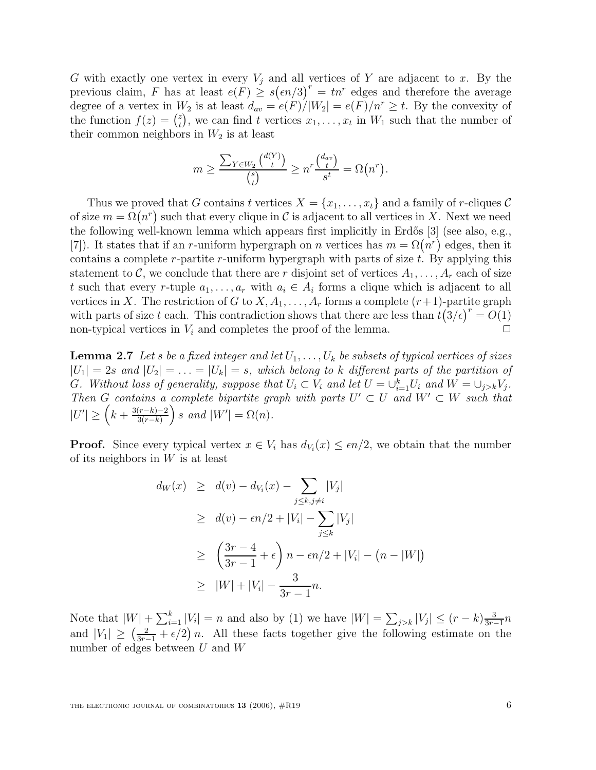G with exactly one vertex in every  $V_i$  and all vertices of Y are adjacent to x. By the previous claim, F has at least  $e(F) \ge s(\epsilon n/3)^r = tn^r$  edges and therefore the average degree of a vertex in  $W_2$  is at least  $d_{av} = e(F)/|W_2| = e(F)/n^r \geq t$ . By the convexity of the function  $f(z) = \binom{z}{t}$ , we can find t vertices  $x_1, \ldots, x_t$  in  $W_1$  such that the number of their common neighbors in  $W_2$  is at least

$$
m \ge \frac{\sum_{Y \in W_2} {d(Y) \choose t}}{\binom{s}{t}} \ge n^r \frac{\binom{d_{av}}{t}}{s^t} = \Omega(n^r).
$$

Thus we proved that G contains t vertices  $X = \{x_1, \ldots, x_t\}$  and a family of r-cliques C of size  $m = \Omega(n^r)$  such that every clique in C is adjacent to all vertices in X. Next we need the following well-known lemma which appears first implicitly in Erdős [3] (see also, e.g., [7]). It states that if an r-uniform hypergraph on n vertices has  $m = \Omega(n^r)$  edges, then it contains a complete r-partite r-uniform hypergraph with parts of size  $t$ . By applying this statement to C, we conclude that there are r disjoint set of vertices  $A_1, \ldots, A_r$  each of size t such that every r-tuple  $a_1, \ldots, a_r$  with  $a_i \in A_i$  forms a clique which is adjacent to all vertices in X. The restriction of G to  $X, A_1, \ldots, A_r$  forms a complete  $(r+1)$ -partite graph with parts of size t each. This contradiction shows that there are less than  $t(3/\epsilon)^r = O(1)$ non-typical vertices in  $V_i$  and completes the proof of the lemma.  $\Box$ 

**Lemma 2.7** Let s be a fixed integer and let  $U_1, \ldots, U_k$  be subsets of typical vertices of sizes  $|U_1| = 2s$  and  $|U_2| = \ldots = |U_k| = s$ , which belong to k different parts of the partition of G. Without loss of generality, suppose that  $U_i \subset V_i$  and let  $U = \bigcup_{i=1}^k U_i$  and  $W = \bigcup_{j>k} V_j$ . Then G contains a complete bipartite graph with parts  $U' \subset U$  and  $W' \subset W$  such that  $|U'| \geq (k + \frac{3(r-k)-2}{3(r-k)})$  $\Big\}$  s and  $|W'| = \Omega(n)$ .

**Proof.** Since every typical vertex  $x \in V_i$  has  $d_{V_i}(x) \leq \epsilon n/2$ , we obtain that the number of its neighbors in  $W$  is at least

$$
d_W(x) \ge d(v) - d_{V_i}(x) - \sum_{j \le k, j \ne i} |V_j|
$$
  
\n
$$
\ge d(v) - \epsilon n/2 + |V_i| - \sum_{j \le k} |V_j|
$$
  
\n
$$
\ge \left(\frac{3r - 4}{3r - 1} + \epsilon\right) n - \epsilon n/2 + |V_i| - (n - |W|)
$$
  
\n
$$
\ge |W| + |V_i| - \frac{3}{3r - 1}n.
$$

Note that  $|W| + \sum_{i=1}^{k} |V_i| = n$  and also by (1) we have  $|W| = \sum_{j>k} |V_j| \le (r - k) \frac{3}{3r-1} n$ and  $|V_1| \ge (\frac{2}{3r-1} + \epsilon/2)n$ . All these facts together give the following estimate on the number of edges between  $U$  and  $W$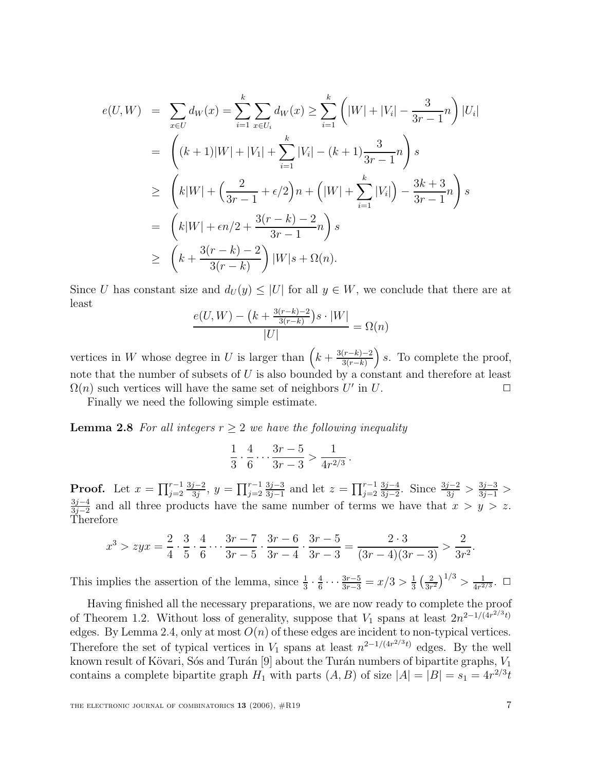$$
e(U, W) = \sum_{x \in U} d_W(x) = \sum_{i=1}^k \sum_{x \in U_i} d_W(x) \ge \sum_{i=1}^k \left( |W| + |V_i| - \frac{3}{3r - 1}n \right) |U_i|
$$
  
\n
$$
= \left( (k+1)|W| + |V_1| + \sum_{i=1}^k |V_i| - (k+1)\frac{3}{3r - 1}n \right) s
$$
  
\n
$$
\ge \left( k|W| + \left( \frac{2}{3r - 1} + \epsilon/2 \right) n + \left( |W| + \sum_{i=1}^k |V_i| \right) - \frac{3k + 3}{3r - 1}n \right) s
$$
  
\n
$$
= \left( k|W| + \epsilon n/2 + \frac{3(r - k) - 2}{3r - 1}n \right) s
$$
  
\n
$$
\ge \left( k + \frac{3(r - k) - 2}{3(r - k)} \right) |W|s + \Omega(n).
$$

Since U has constant size and  $d_U(y) \leq |U|$  for all  $y \in W$ , we conclude that there are at least

$$
\frac{e(U, W) - (k + \frac{3(r-k)-2}{3(r-k)})s \cdot |W|}{|U|} = \Omega(n)
$$

vertices in W whose degree in U is larger than  $\left(k + \frac{3(r-k)-2}{3(r-k)}\right)$  $\int s$ . To complete the proof, note that the number of subsets of  $U$  is also bounded by a constant and therefore at least  $\Omega(n)$  such vertices will have the same set of neighbors U' in U.

Finally we need the following simple estimate.

**Lemma 2.8** For all integers  $r \geq 2$  we have the following inequality

$$
\frac{1}{3} \cdot \frac{4}{6} \cdots \frac{3r-5}{3r-3} > \frac{1}{4r^{2/3}}.
$$

**Proof.** Let  $x = \prod_{j=2}^{r-1} \frac{3j-2}{3j}$ ,  $y = \prod_{j=2}^{r-1} \frac{3j-3}{3j-1}$  and let  $z = \prod_{j=2}^{r-1} \frac{3j-4}{3j-2}$ . Since  $\frac{3j-2}{3j} > \frac{3j-3}{3j-1} >$  $\frac{3j-4}{3j-2}$  and all three products have the same number of terms we have that  $x>y>z$ . Therefore

$$
x^3 > zyx = \frac{2}{4} \cdot \frac{3}{5} \cdot \frac{4}{6} \cdot \dots \cdot \frac{3r-7}{3r-5} \cdot \frac{3r-6}{3r-4} \cdot \frac{3r-5}{3r-3} = \frac{2 \cdot 3}{(3r-4)(3r-3)} > \frac{2}{3r^2}.
$$

This implies the assertion of the lemma, since  $\frac{1}{3} \cdot \frac{4}{6} \cdots \frac{3r-5}{3r-3} = x/3 > \frac{1}{3} \left(\frac{2}{3r^2}\right)^{1/3} > \frac{1}{4r^{2/3}}$ .  $\Box$ 

Having finished all the necessary preparations, we are now ready to complete the proof of Theorem 1.2. Without loss of generality, suppose that  $V_1$  spans at least  $2n^{2-1/(4r^{2/3}t)}$ edges. By Lemma 2.4, only at most  $O(n)$  of these edges are incident to non-typical vertices. Therefore the set of typical vertices in  $V_1$  spans at least  $n^{2-1/(4r^{2/3}t)}$  edges. By the well known result of Kövari, Sós and Turán [9] about the Turán numbers of bipartite graphs,  $V_1$ contains a complete bipartite graph  $H_1$  with parts  $(A, B)$  of size  $|A| = |B| = s_1 = 4r^{2/3}t$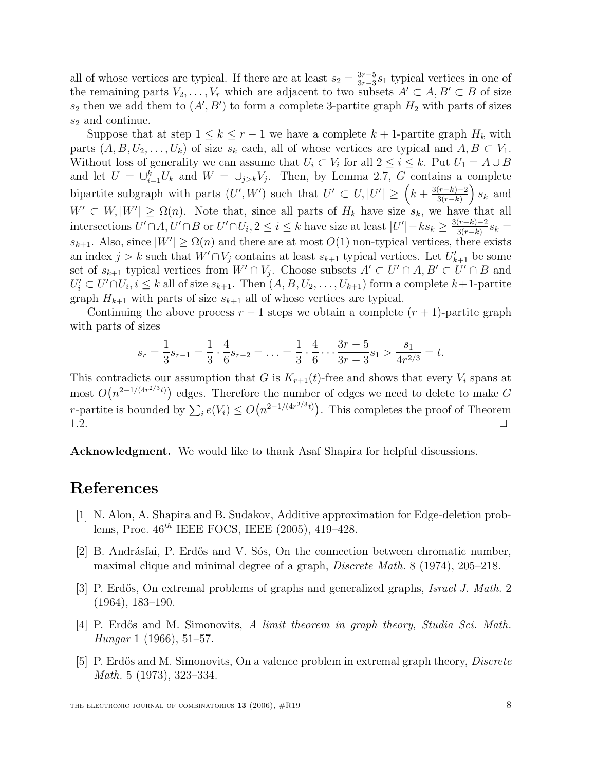all of whose vertices are typical. If there are at least  $s_2 = \frac{3r-5}{3r-3} s_1$  typical vertices in one of the remaining parts  $V_2,\ldots,V_r$  which are adjacent to two subsets  $A'\subset A, B'\subset B$  of size  $s_2$  then we add them to  $(A', B')$  to form a complete 3-partite graph  $H_2$  with parts of sizes  $s_2$  and continue.

Suppose that at step  $1 \leq k \leq r-1$  we have a complete  $k+1$ -partite graph  $H_k$  with parts  $(A, B, U_2, \ldots, U_k)$  of size  $s_k$  each, all of whose vertices are typical and  $A, B \subset V_1$ . Without loss of generality we can assume that  $U_i \subset V_i$  for all  $2 \leq i \leq k$ . Put  $U_1 = A \cup B$ and let  $U = \bigcup_{i=1}^k U_k$  and  $W = \bigcup_{j>k} V_j$ . Then, by Lemma 2.7, G contains a complete bipartite subgraph with parts  $(U', W')$  such that  $U' \subset U, |U'| \geq (k + \frac{3(r-k)-2}{3(r-k)})$  $s_k$  and  $W' \subset W, |W'| \geq \Omega(n)$ . Note that, since all parts of  $H_k$  have size  $s_k$ , we have that all intersections  $U' \cap A$ ,  $U' \cap B$  or  $U' \cap U_i$ ,  $2 \leq i \leq k$  have size at least  $|U'| - ks_k \geq \frac{3(r-k)-2}{3(r-k)}s_k =$  $s_{k+1}$ . Also, since  $|W'| \geq \Omega(n)$  and there are at most  $O(1)$  non-typical vertices, there exists an index  $j > k$  such that  $\hat{W}' \cap V_j$  contains at least  $s_{k+1}$  typical vertices. Let  $U'_{k+1}$  be some set of  $s_{k+1}$  typical vertices from  $W' \cap V_j$ . Choose subsets  $A' \subset U' \cap A, B' \subset U' \cap B$  and  $U_i' \subset U' \cap U_i, i \leq k$  all of size  $s_{k+1}$ . Then  $(A, B, U_2, \ldots, U_{k+1})$  form a complete  $k+1$ -partite graph  $H_{k+1}$  with parts of size  $s_{k+1}$  all of whose vertices are typical.

Continuing the above process  $r - 1$  steps we obtain a complete  $(r + 1)$ -partite graph with parts of sizes

$$
s_r = \frac{1}{3}s_{r-1} = \frac{1}{3} \cdot \frac{4}{6}s_{r-2} = \ldots = \frac{1}{3} \cdot \frac{4}{6} \cdots \frac{3r-5}{3r-3}s_1 > \frac{s_1}{4r^{2/3}} = t.
$$

This contradicts our assumption that G is  $K_{r+1}(t)$ -free and shows that every  $V_i$  spans at most  $O(n^{2-1/(4r^{2/3}t)})$  edges. Therefore the number of edges we need to delete to make G *r*-partite is bounded by  $\sum_i e(V_i) \leq O(n^{2-1/(4r^{2/3}t)})$ . This completes the proof of Theorem  $1.2.$ 

**Acknowledgment.** We would like to thank Asaf Shapira for helpful discussions.

#### **References**

- [1] N. Alon, A. Shapira and B. Sudakov, Additive approximation for Edge-deletion problems, Proc.  $46^{th}$  IEEE FOCS, IEEE  $(2005)$ ,  $419-428$ .
- [2] B. Andrásfai, P. Erdős and V. Sós, On the connection between chromatic number, maximal clique and minimal degree of a graph, *Discrete Math.* 8 (1974), 205–218.
- [3] P. Erdős, On extremal problems of graphs and generalized graphs, *Israel J. Math.* 2 (1964), 183–190.
- [4] P. Erdős and M. Simonovits, A limit theorem in graph theory, Studia Sci. Math. Hungar 1 (1966), 51–57.
- [5] P. Erdős and M. Simonovits, On a valence problem in extremal graph theory, *Discrete* Math. 5 (1973), 323–334.